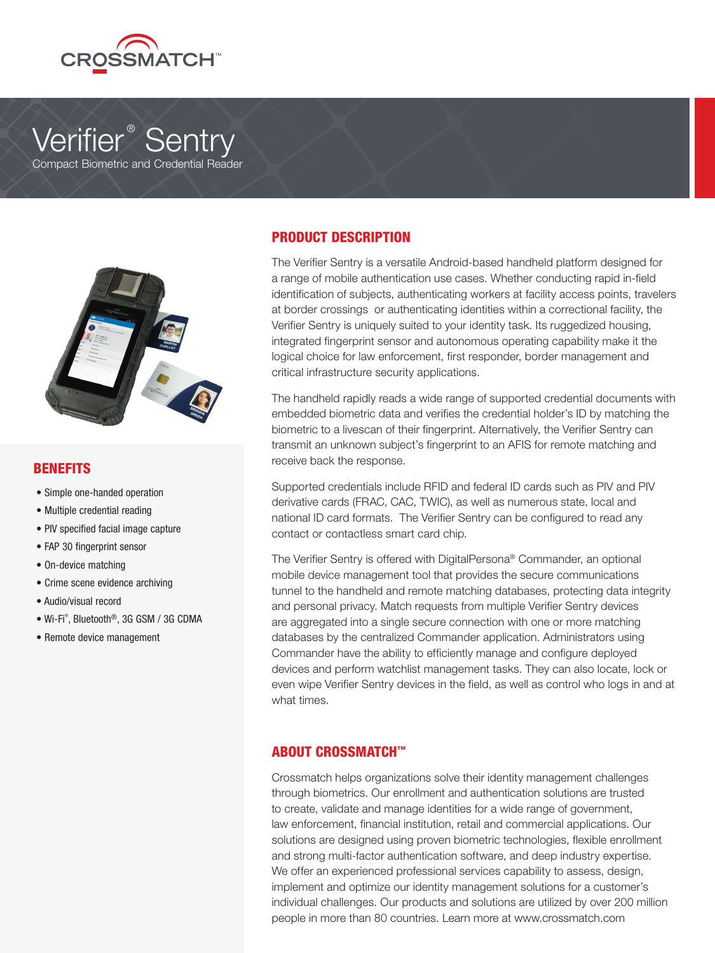

# Verifier ® Sentry

Compact Biometric and Credential Reader



#### BENEFITS

- Simple one-handed operation
- Multiple credential reading
- PIV specified facial image capture
- FAP 30 fingerprint sensor
- On-device matching
- Crime scene evidence archiving
- Audio/visual record
- Wi-Fi® , Bluetooth®, 3G GSM / 3G CDMA
- Remote device management

### PRODUCT DESCRIPTION

The Verifier Sentry is a versatile Android-based handheld platform designed for a range of mobile authentication use cases. Whether conducting rapid in-field identification of subjects, authenticating workers at facility access points, travelers at border crossings or authenticating identities within a correctional facility, the Verifier Sentry is uniquely suited to your identity task. Its ruggedized housing, integrated fingerprint sensor and autonomous operating capability make it the logical choice for law enforcement, first responder, border management and critical infrastructure security applications.

The handheld rapidly reads a wide range of supported credential documents with embedded biometric data and verifies the credential holder's ID by matching the biometric to a livescan of their fingerprint. Alternatively, the Verifier Sentry can transmit an unknown subject's fingerprint to an AFIS for remote matching and receive back the response.

Supported credentials include RFID and federal ID cards such as PIV and PIV derivative cards (FRAC, CAC, TWIC), as well as numerous state, local and national ID card formats. The Verifier Sentry can be configured to read any contact or contactless smart card chip.

The Verifier Sentry is offered with DigitalPersona® Commander, an optional mobile device management tool that provides the secure communications tunnel to the handheld and remote matching databases, protecting data integrity and personal privacy. Match requests from multiple Verifier Sentry devices are aggregated into a single secure connection with one or more matching databases by the centralized Commander application. Administrators using Commander have the ability to efficiently manage and configure deployed devices and perform watchlist management tasks. They can also locate, lock or even wipe Verifier Sentry devices in the field, as well as control who logs in and at what times.

### ABOUT CROSSMATCH™

Crossmatch helps organizations solve their identity management challenges through biometrics. Our enrollment and authentication solutions are trusted to create, validate and manage identities for a wide range of government, law enforcement, financial institution, retail and commercial applications. Our solutions are designed using proven biometric technologies, flexible enrollment and strong multi-factor authentication software, and deep industry expertise. We offer an experienced professional services capability to assess, design, implement and optimize our identity management solutions for a customer's individual challenges. Our products and solutions are utilized by over 200 million people in more than 80 countries. Learn more at www.crossmatch.com